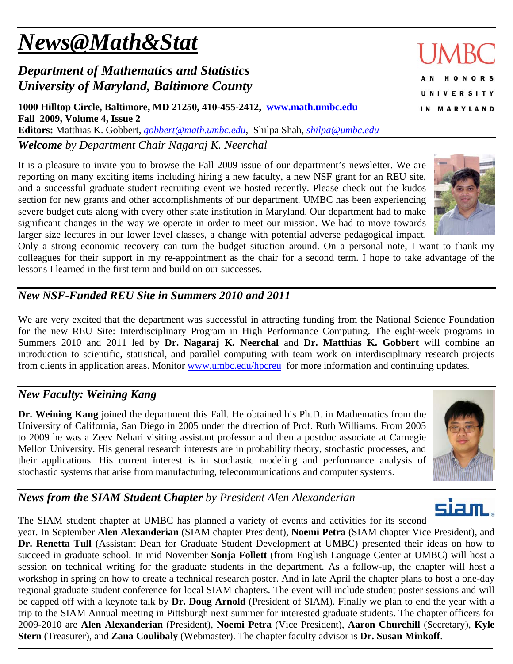# *News@Math&Stat*

# *Department of Mathematics and Statistics University of Maryland, Baltimore County*

**1000 Hilltop Circle, Baltimore, MD 21250, 410-455-2412, www.math.umbc.edu Fall 2009, Volume 4, Issue 2 Editors:** Matthias K. Gobbert, *gobbert@math.umbc.edu,* Shilpa Shah*, shilpa@umbc.edu*

*Welcome by Department Chair Nagaraj K. Neerchal*

It is a pleasure to invite you to browse the Fall 2009 issue of our department's newsletter. We are reporting on many exciting items including hiring a new faculty, a new NSF grant for an REU site, and a successful graduate student recruiting event we hosted recently. Please check out the kudos section for new grants and other accomplishments of our department. UMBC has been experiencing severe budget cuts along with every other state institution in Maryland. Our department had to make significant changes in the way we operate in order to meet our mission. We had to move towards larger size lectures in our lower level classes, a change with potential adverse pedagogical impact.

Only a strong economic recovery can turn the budget situation around. On a personal note, I want to thank my colleagues for their support in my re-appointment as the chair for a second term. I hope to take advantage of the lessons I learned in the first term and build on our successes.

# *New NSF-Funded REU Site in Summers 2010 and 2011*

We are very excited that the department was successful in attracting funding from the National Science Foundation for the new REU Site: Interdisciplinary Program in High Performance Computing. The eight-week programs in Summers 2010 and 2011 led by **Dr. Nagaraj K. Neerchal** and **Dr. Matthias K. Gobbert** will combine an introduction to scientific, statistical, and parallel computing with team work on interdisciplinary research projects from clients in application areas. Monitor www.umbc.edu/hpcreu for more information and continuing updates.

## *New Faculty: Weining Kang*

**Dr. Weining Kang** joined the department this Fall. He obtained his Ph.D. in Mathematics from the University of California, San Diego in 2005 under the direction of Prof. Ruth Williams. From 2005 to 2009 he was a Zeev Nehari visiting assistant professor and then a postdoc associate at Carnegie Mellon University. His general research interests are in probability theory, stochastic processes, and their applications. His current interest is in stochastic modeling and performance analysis of stochastic systems that arise from manufacturing, telecommunications and computer systems.

# *News from the SIAM Student Chapter by President Alen Alexanderian*

siam The SIAM student chapter at UMBC has planned a variety of events and activities for its second year. In September **Alen Alexanderian** (SIAM chapter President), **Noemi Petra** (SIAM chapter Vice President), and **Dr. Renetta Tull** (Assistant Dean for Graduate Student Development at UMBC) presented their ideas on how to succeed in graduate school. In mid November **Sonja Follett** (from English Language Center at UMBC) will host a session on technical writing for the graduate students in the department. As a follow-up, the chapter will host a workshop in spring on how to create a technical research poster. And in late April the chapter plans to host a one-day regional graduate student conference for local SIAM chapters. The event will include student poster sessions and will be capped off with a keynote talk by **Dr. Doug Arnold** (President of SIAM). Finally we plan to end the year with a trip to the SIAM Annual meeting in Pittsburgh next summer for interested graduate students. The chapter officers for 2009-2010 are **Alen Alexanderian** (President), **Noemi Petra** (Vice President), **Aaron Churchill** (Secretary), **Kyle Stern** (Treasurer), and **Zana Coulibaly** (Webmaster). The chapter faculty advisor is **Dr. Susan Minkoff**.

**JMRC** 



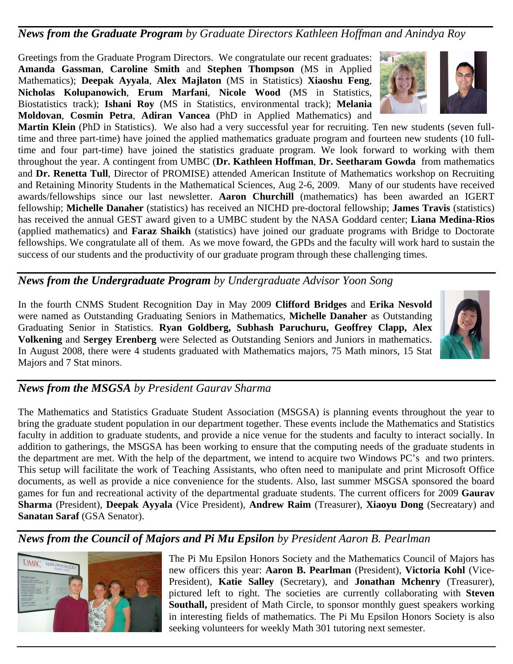### *News from the Graduate Program by Graduate Directors Kathleen Hoffman and Anindya Roy*

Greetings from the Graduate Program Directors. We congratulate our recent graduates: **Amanda Gassman**, **Caroline Smith** and **Stephen Thompson** (MS in Applied Mathematics); **Deepak Ayyala**, **Alex Majlaton** (MS in Statistics) **Xiaoshu Feng**, **Nicholas Kolupanowich**, **Erum Marfani**, **Nicole Wood** (MS in Statistics, Biostatistics track); **Ishani Roy** (MS in Statistics, environmental track); **Melania Moldovan**, **Cosmin Petra**, **Adiran Vancea** (PhD in Applied Mathematics) and

**Martin Klein** (PhD in Statistics). We also had a very successful year for recruiting. Ten new students (seven fulltime and three part-time) have joined the applied mathematics graduate program and fourteen new students (10 fulltime and four part-time) have joined the statistics graduate program. We look forward to working with them throughout the year. A contingent from UMBC (**Dr. Kathleen Hoffman**, **Dr. Seetharam Gowda** from mathematics and **Dr. Renetta Tull**, Director of PROMISE) attended American Institute of Mathematics workshop on Recruiting and Retaining Minority Students in the Mathematical Sciences, Aug 2-6, 2009. Many of our students have received awards/fellowships since our last newsletter. **Aaron Churchill** (mathematics) has been awarded an IGERT fellowship; **Michelle Danaher** (statistics) has received an NICHD pre-doctoral fellowship; **James Travis** (statistics) has received the annual GEST award given to a UMBC student by the NASA Goddard center; **Liana Medina-Rios** (applied mathematics) and **Faraz Shaikh** (statistics) have joined our graduate programs with Bridge to Doctorate fellowships. We congratulate all of them. As we move foward, the GPDs and the faculty will work hard to sustain the success of our students and the productivity of our graduate program through these challenging times.

*News from the Undergraduate Program by Undergraduate Advisor Yoon Song* 

In the fourth CNMS Student Recognition Day in May 2009 **Clifford Bridges** and **Erika Nesvold** were named as Outstanding Graduating Seniors in Mathematics, **Michelle Danaher** as Outstanding Graduating Senior in Statistics. **Ryan Goldberg, Subhash Paruchuru, Geoffrey Clapp, Alex Volkening** and **Sergey Erenberg** were Selected as Outstanding Seniors and Juniors in mathematics. In August 2008, there were 4 students graduated with Mathematics majors, 75 Math minors, 15 Stat Majors and 7 Stat minors.

## *News from the MSGSA by President Gaurav Sharma*

The Mathematics and Statistics Graduate Student Association (MSGSA) is planning events throughout the year to bring the graduate student population in our department together. These events include the Mathematics and Statistics faculty in addition to graduate students, and provide a nice venue for the students and faculty to interact socially. In addition to gatherings, the MSGSA has been working to ensure that the computing needs of the graduate students in the department are met. With the help of the department, we intend to acquire two Windows PC's and two printers. This setup will facilitate the work of Teaching Assistants, who often need to manipulate and print Microsoft Office documents, as well as provide a nice convenience for the students. Also, last summer MSGSA sponsored the board games for fun and recreational activity of the departmental graduate students. The current officers for 2009 **Gaurav Sharma** (President), **Deepak Ayyala** (Vice President), **Andrew Raim** (Treasurer), **Xiaoyu Dong** (Secreatary) and **Sanatan Saraf** (GSA Senator).

*News from the Council of Majors and Pi Mu Epsilon by President Aaron B. Pearlman* 



The Pi Mu Epsilon Honors Society and the Mathematics Council of Majors has new officers this year: **Aaron B. Pearlman** (President), **Victoria Kohl** (Vice-President), **Katie Salley** (Secretary), and **Jonathan Mchenry** (Treasurer), pictured left to right. The societies are currently collaborating with **Steven Southall,** president of Math Circle, to sponsor monthly guest speakers working in interesting fields of mathematics. The Pi Mu Epsilon Honors Society is also seeking volunteers for weekly Math 301 tutoring next semester.



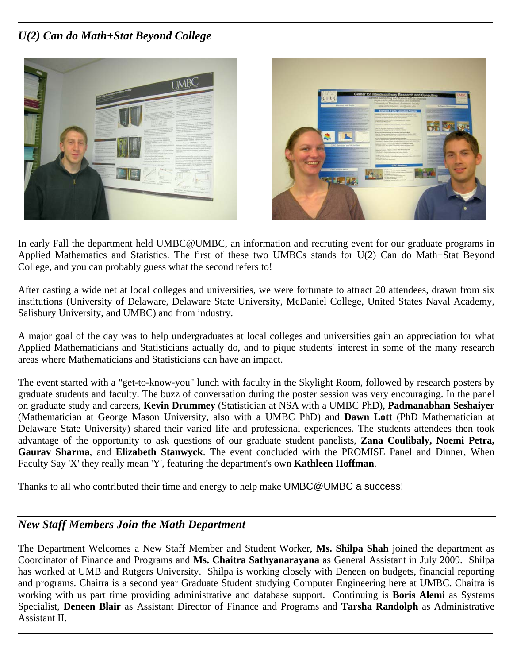## *U(2) Can do Math+Stat Beyond College*





In early Fall the department held UMBC@UMBC, an information and recruting event for our graduate programs in Applied Mathematics and Statistics. The first of these two UMBCs stands for U(2) Can do Math+Stat Beyond College, and you can probably guess what the second refers to!

After casting a wide net at local colleges and universities, we were fortunate to attract 20 attendees, drawn from six institutions (University of Delaware, Delaware State University, McDaniel College, United States Naval Academy, Salisbury University, and UMBC) and from industry.

A major goal of the day was to help undergraduates at local colleges and universities gain an appreciation for what Applied Mathematicians and Statisticians actually do, and to pique students' interest in some of the many research areas where Mathematicians and Statisticians can have an impact.

The event started with a "get-to-know-you" lunch with faculty in the Skylight Room, followed by research posters by graduate students and faculty. The buzz of conversation during the poster session was very encouraging. In the panel on graduate study and careers, **Kevin Drummey** (Statistician at NSA with a UMBC PhD), **Padmanabhan Seshaiyer** (Mathematician at George Mason University, also with a UMBC PhD) and **Dawn Lott** (PhD Mathematician at Delaware State University) shared their varied life and professional experiences. The students attendees then took advantage of the opportunity to ask questions of our graduate student panelists, **Zana Coulibaly, Noemi Petra, Gaurav Sharma**, and **Elizabeth Stanwyck**. The event concluded with the PROMISE Panel and Dinner, When Faculty Say 'X' they really mean 'Y', featuring the department's own **Kathleen Hoffman**.

Thanks to all who contributed their time and energy to help make UMBC@UMBC a success!

### *New Staff Members Join the Math Department*

The Department Welcomes a New Staff Member and Student Worker, **Ms. Shilpa Shah** joined the department as Coordinator of Finance and Programs and **Ms. Chaitra Sathyanarayana** as General Assistant in July 2009. Shilpa has worked at UMB and Rutgers University. Shilpa is working closely with Deneen on budgets, financial reporting and programs. Chaitra is a second year Graduate Student studying Computer Engineering here at UMBC. Chaitra is working with us part time providing administrative and database support. Continuing is **Boris Alemi** as Systems Specialist, **Deneen Blair** as Assistant Director of Finance and Programs and **Tarsha Randolph** as Administrative Assistant II.